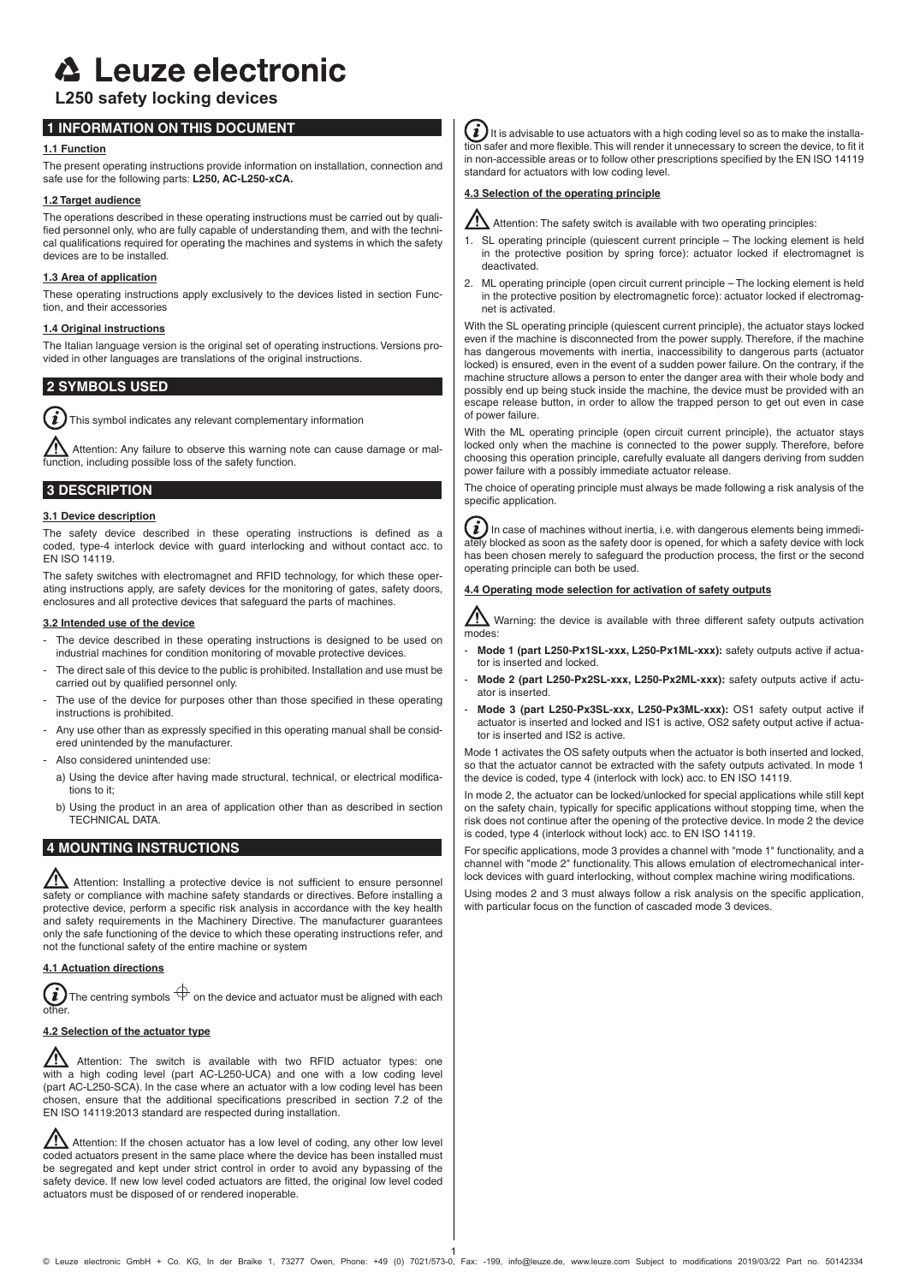# **△ Leuze electronic**

# **L250 safety locking devices**

# **1 INFORMATION ON THIS DOCUMENT**

# **1.1 Function**

The present operating instructions provide information on installation, connection and safe use for the following parts: **L250, AC-L250-xCA.**

## **1.2 Target audience**

The operations described in these operating instructions must be carried out by qualified personnel only, who are fully capable of understanding them, and with the technical qualifications required for operating the machines and systems in which the safety devices are to be installed.

## **1.3 Area of application**

These operating instructions apply exclusively to the devices listed in section Function, and their accessories

## **1.4 Original instructions**

The Italian language version is the original set of operating instructions. Versions provided in other languages are translations of the original instructions.

# **2 SYMBOLS USED**

i This symbol indicates any relevant complementary information

 Attention: Any failure to observe this warning note can cause damage or malfunction, including possible loss of the safety function.

# **3 DESCRIPTION**

## **3.1 Device description**

The safety device described in these operating instructions is defined as a coded, type-4 interlock device with guard interlocking and without contact acc. to EN ISO 14119.

The safety switches with electromagnet and RFID technology, for which these operating instructions apply, are safety devices for the monitoring of gates, safety doors, enclosures and all protective devices that safeguard the parts of machines.

## **3.2 Intended use of the device**

- The device described in these operating instructions is designed to be used on industrial machines for condition monitoring of movable protective devices.
- The direct sale of this device to the public is prohibited. Installation and use must be carried out by qualified personnel only.
- The use of the device for purposes other than those specified in these operating instructions is prohibited.
- Any use other than as expressly specified in this operating manual shall be considered unintended by the manufacturer.
- Also considered unintended use:
	- a) Using the device after having made structural, technical, or electrical modifications to it;
	- b) Using the product in an area of application other than as described in section TECHNICAL DATA.

# **4 MOUNTING INSTRUCTIONS**

Attention: Installing a protective device is not sufficient to ensure personnel safety or compliance with machine safety standards or directives. Before installing a protective device, perform a specific risk analysis in accordance with the key health and safety requirements in the Machinery Directive. The manufacturer guarantees only the safe functioning of the device to which these operating instructions refer, and not the functional safety of the entire machine or system

# **4.1 Actuation directions**

The centring symbols  $\bigoplus$  on the device and actuator must be aligned with each  $\mathbf{i}$ other.

# **4.2 Selection of the actuator type**

<u>/I\</u> Attention: The switch is available with two RFID actuator types: one with a high coding level (part AC-L250-UCA) and one with a low coding level (part AC-L250-SCA). In the case where an actuator with a low coding level has been chosen, ensure that the additional specifications prescribed in section 7.2 of the EN ISO 14119:2013 standard are respected during installation.

 $\sqrt{\Lambda}$  Attention: If the chosen actuator has a low level of coding, any other low level coded actuators present in the same place where the device has been installed must be segregated and kept under strict control in order to avoid any bypassing of the safety device. If new low level coded actuators are fitted, the original low level coded actuators must be disposed of or rendered inoperable.

 $\bm{i}$ ) It is advisable to use actuators with a high coding level so as to make the installation safer and more flexible. This will render it unnecessary to screen the device, to fit it in non-accessible areas or to follow other prescriptions specified by the EN ISO 14119 standard for actuators with low coding level.

## **4.3 Selection of the operating principle**



Attention: The safety switch is available with two operating principles:

- 1. SL operating principle (quiescent current principle The locking element is held in the protective position by spring force): actuator locked if electromagnet is deactivated.
- 2. ML operating principle (open circuit current principle The locking element is held in the protective position by electromagnetic force): actuator locked if electromagnet is activated.

With the SL operating principle (quiescent current principle), the actuator stays locked even if the machine is disconnected from the power supply. Therefore, if the machine has dangerous movements with inertia, inaccessibility to dangerous parts (actuator locked) is ensured, even in the event of a sudden power failure. On the contrary, if the machine structure allows a person to enter the danger area with their whole body and possibly end up being stuck inside the machine, the device must be provided with an escape release button, in order to allow the trapped person to get out even in case of power failure.

With the ML operating principle (open circuit current principle), the actuator stays locked only when the machine is connected to the power supply. Therefore, before choosing this operation principle, carefully evaluate all dangers deriving from sudden power failure with a possibly immediate actuator release.

The choice of operating principle must always be made following a risk analysis of the specific application.

 $\hat{\bm{i}}$  ) In case of machines without inertia, i.e. with dangerous elements being immedily blocked as soon as the safety door is opened, for which a safety device with lock has been chosen merely to safeguard the production process, the first or the second operating principle can both be used.

## **4.4 Operating mode selection for activation of safety outputs**

 $\sum$  Warning: the device is available with three different safety outputs activation modes:

- Mode 1 (part L250-Px1SL-xxx, L250-Px1ML-xxx): safety outputs active if actuator is inserted and locked.
- Mode 2 (part L250-Px2SL-xxx, L250-Px2ML-xxx): safety outputs active if actuator is inserted.
- Mode 3 (part L250-Px3SL-xxx, L250-Px3ML-xxx): OS1 safety output active if actuator is inserted and locked and IS1 is active, OS2 safety output active if actuator is inserted and IS2 is active.

Mode 1 activates the OS safety outputs when the actuator is both inserted and locked, so that the actuator cannot be extracted with the safety outputs activated. In mode 1 the device is coded, type 4 (interlock with lock) acc. to EN ISO 14119.

In mode 2, the actuator can be locked/unlocked for special applications while still kept on the safety chain, typically for specific applications without stopping time, when the risk does not continue after the opening of the protective device. In mode 2 the device is coded, type 4 (interlock without lock) acc. to EN ISO 14119.

For specific applications, mode 3 provides a channel with "mode 1" functionality, and a channel with "mode 2" functionality. This allows emulation of electromechanical interlock devices with guard interlocking, without complex machine wiring modifications.

Using modes 2 and 3 must always follow a risk analysis on the specific application, with particular focus on the function of cascaded mode 3 devices.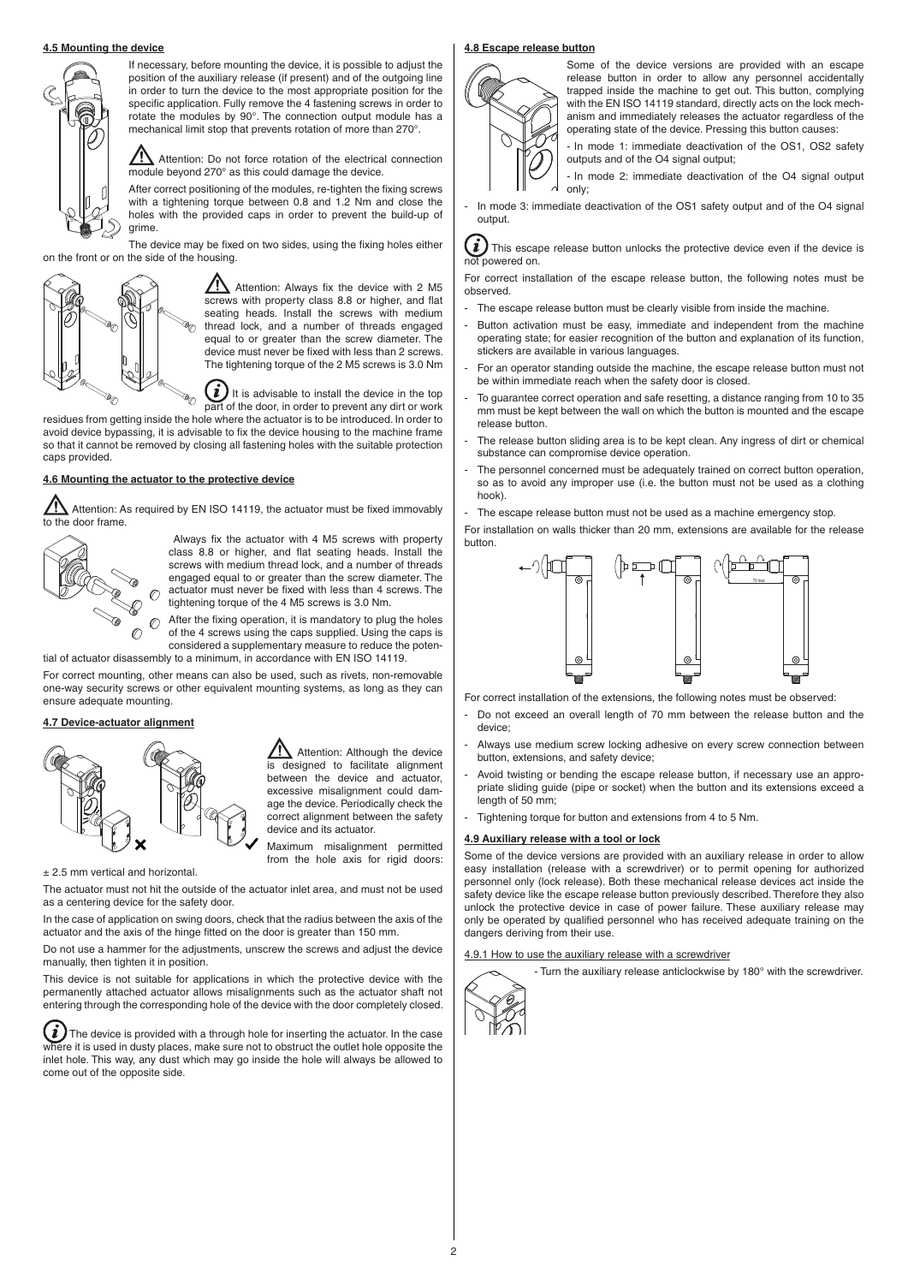#### **4.5 Mounting the device**



If necessary, before mounting the device, it is possible to adjust the position of the auxiliary release (if present) and of the outgoing line in order to turn the device to the most appropriate position for the specific application. Fully remove the 4 fastening screws in order to rotate the modules by 90°. The connection output module has a mechanical limit stop that prevents rotation of more than 270°.

 $\sqrt{\phantom{a}}\phantom{a}$  Attention: Do not force rotation of the electrical connection module beyond 270° as this could damage the device.

After correct positioning of the modules, re-tighten the fixing screws with a tightening torque between 0.8 and 1.2 Nm and close the holes with the provided caps in order to prevent the build-up of grime.

The device may be fixed on two sides, using the fixing holes either on the front or on the side of the housing.



 $\sqrt{\left(\frac{\}{\sqrt{2}}\right)}$  Attention: Always fix the device with 2 M5 screws with property class 8.8 or higher, and flat seating heads. Install the screws with medium thread lock, and a number of threads engaged equal to or greater than the screw diameter. The device must never be fixed with less than 2 screws. The tightening torque of the 2 M5 screws is 3.0 Nm

 $\left(\boldsymbol{i}\right)$ It is advisable to install the device in the top part of the door, in order to prevent any dirt or work

residues from getting inside the hole where the actuator is to be introduced. In order to avoid device bypassing, it is advisable to fix the device housing to the machine frame so that it cannot be removed by closing all fastening holes with the suitable protection caps provided.

# **4.6 Mounting the actuator to the protective device**

Attention: As required by EN ISO 14119, the actuator must be fixed immovably to the door frame.



Always fix the actuator with 4 M5 screws with property class 8.8 or higher, and flat seating heads. Install the screws with medium thread lock, and a number of threads engaged equal to or greater than the screw diameter. The actuator must never be fixed with less than 4 screws. The tightening torque of the 4 M5 screws is 3.0 Nm.

After the fixing operation, it is mandatory to plug the holes of the 4 screws using the caps supplied. Using the caps is considered a supplementary measure to reduce the poten-

tial of actuator disassembly to a minimum, in accordance with EN ISO 14119.

For correct mounting, other means can also be used, such as rivets, non-removable one-way security screws or other equivalent mounting systems, as long as they can ensure adequate mounting.

## **4.7 Device-actuator alignment**



 Attention: Although the device designed to facilitate alignment between the device and actuator, excessive misalignment could damage the device. Periodically check the correct alignment between the safety device and its actuator.

Maximum misalignment permitted from the hole axis for rigid doors:

± 2.5 mm vertical and horizontal.

The actuator must not hit the outside of the actuator inlet area, and must not be used as a centering device for the safety door.

In the case of application on swing doors, check that the radius between the axis of the actuator and the axis of the hinge fitted on the door is greater than 150 mm.

Do not use a hammer for the adjustments, unscrew the screws and adjust the device manually, then tighten it in position.

This device is not suitable for applications in which the protective device with the permanently attached actuator allows misalignments such as the actuator shaft not entering through the corresponding hole of the device with the door completely closed.

The device is provided with a through hole for inserting the actuator. In the case where it is used in dusty places, make sure not to obstruct the outlet hole opposite the inlet hole. This way, any dust which may go inside the hole will always be allowed to come out of the opposite side.

#### **4.8 Escape release button**



Some of the device versions are provided with an escape release button in order to allow any personnel accidentally trapped inside the machine to get out. This button, complying with the EN ISO 14119 standard, directly acts on the lock mechanism and immediately releases the actuator regardless of the operating state of the device. Pressing this button causes:

- In mode 1: immediate deactivation of the OS1, OS2 safety outputs and of the O4 signal output;

- In mode 2: immediate deactivation of the O4 signal output only;

- In mode 3: immediate deactivation of the OS1 safety output and of the O4 signal output.

 This escape release button unlocks the protective device even if the device is not powered on.

For correct installation of the escape release button, the following notes must be observed.

- The escape release button must be clearly visible from inside the machine.
- Button activation must be easy, immediate and independent from the machine operating state; for easier recognition of the button and explanation of its function, stickers are available in various languages.
- For an operator standing outside the machine, the escape release button must not be within immediate reach when the safety door is closed.
- To guarantee correct operation and safe resetting, a distance ranging from 10 to 35 mm must be kept between the wall on which the button is mounted and the escape release button.
- The release button sliding area is to be kept clean. Any ingress of dirt or chemical substance can compromise device operation.
- The personnel concerned must be adequately trained on correct button operation, so as to avoid any improper use (i.e. the button must not be used as a clothing hook).
- The escape release button must not be used as a machine emergency stop.

For installation on walls thicker than 20 mm, extensions are available for the release button.



For correct installation of the extensions, the following notes must be observed:

- Do not exceed an overall length of 70 mm between the release button and the device;
- Always use medium screw locking adhesive on every screw connection between button, extensions, and safety device;
- Avoid twisting or bending the escape release button, if necessary use an appropriate sliding guide (pipe or socket) when the button and its extensions exceed a length of 50 mm;
- Tightening torque for button and extensions from 4 to 5 Nm.

#### **4.9 Auxiliary release with a tool or lock**

Some of the device versions are provided with an auxiliary release in order to allow easy installation (release with a screwdriver) or to permit opening for authorized personnel only (lock release). Both these mechanical release devices act inside the safety device like the escape release button previously described. Therefore they also unlock the protective device in case of power failure. These auxiliary release may only be operated by qualified personnel who has received adequate training on the dangers deriving from their use.

#### 4.9.1 How to use the auxiliary release with a screwdriver

- Turn the auxiliary release anticlockwise by 180° with the screwdriver.

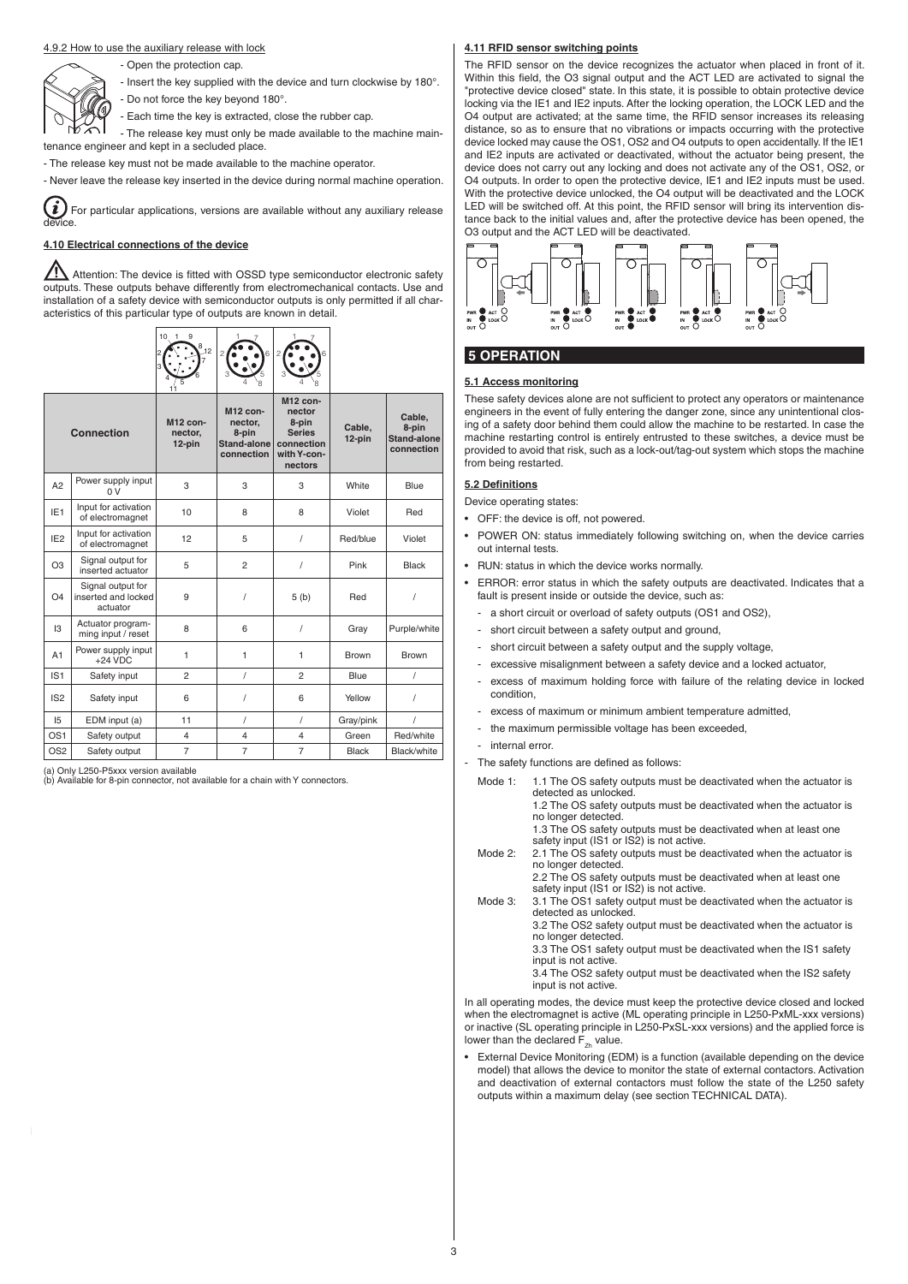#### 4.9.2 How to use the auxiliary release with lock

- Open the protection cap.
- Insert the key supplied with the device and turn clockwise by 180°.
- - Do not force the key beyond 180°.
	- Each time the key is extracted, close the rubber cap.

- The release key must only be made available to the machine maintenance engineer and kept in a secluded place.

- The release key must not be made available to the machine operator.

- Never leave the release key inserted in the device during normal machine operation.

i For particular applications, versions are available without any auxiliary release device.

# **4.10 Electrical connections of the device**

Attention: The device is fitted with OSSD type semiconductor electronic safety outputs. These outputs behave differently from electromechanical contacts. Use and installation of a safety device with semiconductor outputs is only permitted if all characteristics of this particular type of outputs are known in detail.



| Connection      |                                                      | M12 con-<br>nector,<br>$12$ -pin | M12 con-<br>nector,<br>8-pin<br><b>Stand-alone</b><br>connection | M12 con-<br>nector<br>8-pin<br><b>Series</b><br>connection<br>with Y-con-<br>nectors | Cable.<br>12-pin | Cable.<br>8-pin<br><b>Stand-alone</b><br>connection |
|-----------------|------------------------------------------------------|----------------------------------|------------------------------------------------------------------|--------------------------------------------------------------------------------------|------------------|-----------------------------------------------------|
| A <sub>2</sub>  | Power supply input<br>0V                             | 3                                | 3                                                                | 3                                                                                    | White            | Blue                                                |
| IE <sub>1</sub> | Input for activation<br>of electromagnet             | 10                               | 8                                                                | 8                                                                                    | Violet           | Red                                                 |
| IE <sub>2</sub> | Input for activation<br>of electromagnet             | 12                               | 5                                                                | I                                                                                    | Red/blue         | Violet                                              |
| O <sub>3</sub>  | Signal output for<br>inserted actuator               | 5                                | $\overline{2}$                                                   | I                                                                                    | Pink             | Black                                               |
| O <sub>4</sub>  | Signal output for<br>inserted and locked<br>actuator | 9                                |                                                                  | 5(b)                                                                                 | Red              | 1                                                   |
| $\mathsf{I}3$   | Actuator program-<br>ming input / reset              | 8                                | 6                                                                | 1                                                                                    | Gray             | Purple/white                                        |
| A1              | Power supply input<br>$+24$ VDC                      | 1                                | 1                                                                | 1                                                                                    | <b>Brown</b>     | <b>Brown</b>                                        |
| IS <sub>1</sub> | Safety input                                         | $\overline{2}$                   | I                                                                | $\overline{2}$                                                                       | Blue             | 1                                                   |
| IS <sub>2</sub> | Safety input                                         | 6                                |                                                                  | 6                                                                                    | Yellow           | 1                                                   |
| 15              | EDM input (a)                                        | 11                               | I                                                                | I                                                                                    | Gray/pink        | 1                                                   |
| OS <sub>1</sub> | Safety output                                        | 4                                | $\overline{4}$                                                   | $\overline{\mathbf{4}}$                                                              | Green            | Red/white                                           |
| OS <sub>2</sub> | Safety output                                        | $\overline{7}$                   | $\overline{7}$                                                   | $\overline{7}$                                                                       | <b>Black</b>     | Black/white                                         |

(a) Only L250-P5xxx version available (b) Available for 8-pin connector, not available for a chain with Y connectors.

#### **4.11 RFID sensor switching points**

The RFID sensor on the device recognizes the actuator when placed in front of it. Within this field, the O3 signal output and the ACT LED are activated to signal the "protective device closed" state. In this state, it is possible to obtain protective device locking via the IE1 and IE2 inputs. After the locking operation, the LOCK LED and the O4 output are activated; at the same time, the RFID sensor increases its releasing distance, so as to ensure that no vibrations or impacts occurring with the protective device locked may cause the OS1, OS2 and O4 outputs to open accidentally. If the IE1 and IE2 inputs are activated or deactivated, without the actuator being present, the device does not carry out any locking and does not activate any of the OS1, OS2, or O4 outputs. In order to open the protective device, IE1 and IE2 inputs must be used. With the protective device unlocked, the O4 output will be deactivated and the LOCK LED will be switched off. At this point, the RFID sensor will bring its intervention distance back to the initial values and, after the protective device has been opened, the O3 output and the ACT LED will be deactivated.



# **5 OPERATION**

#### **5.1 Access monitoring**

These safety devices alone are not sufficient to protect any operators or maintenance engineers in the event of fully entering the danger zone, since any unintentional closing of a safety door behind them could allow the machine to be restarted. In case the machine restarting control is entirely entrusted to these switches, a device must be provided to avoid that risk, such as a lock-out/tag-out system which stops the machine from being restarted.

#### **5.2 Defi nitions**

Device operating states:

- OFF: the device is off, not powered.
- POWER ON: status immediately following switching on, when the device carries out internal tests.
- RUN: status in which the device works normally.
- ERROR: error status in which the safety outputs are deactivated. Indicates that a fault is present inside or outside the device, such as:
	- a short circuit or overload of safety outputs (OS1 and OS2),
	- short circuit between a safety output and ground,
	- short circuit between a safety output and the supply voltage,
	- excessive misalignment between a safety device and a locked actuator,
	- excess of maximum holding force with failure of the relating device in locked condition,
	- excess of maximum or minimum ambient temperature admitted,
	- the maximum permissible voltage has been exceeded.
	- internal error
- The safety functions are defined as follows:
- Mode 1: 1.1 The OS safety outputs must be deactivated when the actuator is detected as unlocked. 1.2 The OS safety outputs must be deactivated when the actuator is no longer detected. 1.3 The OS safety outputs must be deactivated when at least one
	- safety input (IS1 or IS2) is not active.
- Mode 2: 2.1 The OS safety outputs must be deactivated when the actuator is no longer detected. 2.2 The OS safety outputs must be deactivated when at least one
- safety input (IS1 or IS2) is not active. Mode 3: 3.1 The OS1 safety output must be deactivated when the actuator is
	- detected as unlocked. 3.2 The OS2 safety output must be deactivated when the actuator is

no longer detected.

3.3 The OS1 safety output must be deactivated when the IS1 safety input is not active.

3.4 The OS2 safety output must be deactivated when the IS2 safety input is not active.

In all operating modes, the device must keep the protective device closed and locked when the electromagnet is active (ML operating principle in L250-PxML-xxx versions) or inactive (SL operating principle in L250-PxSL-xxx versions) and the applied force is lower than the declared  $F_{Zh}$  value.

• External Device Monitoring (EDM) is a function (available depending on the device model) that allows the device to monitor the state of external contactors. Activation and deactivation of external contactors must follow the state of the L250 safety outputs within a maximum delay (see section TECHNICAL DATA).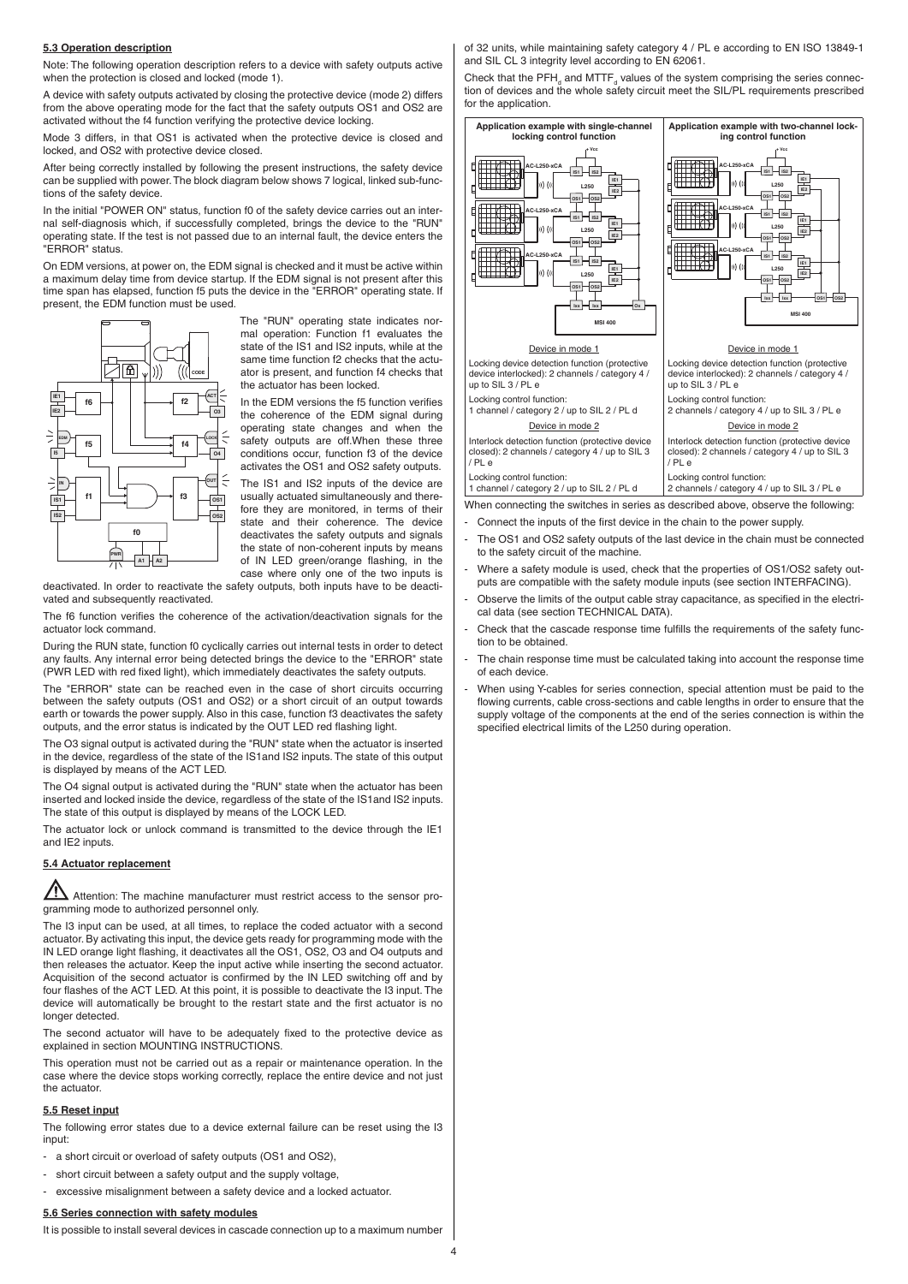#### **5.3 Operation description**

Note: The following operation description refers to a device with safety outputs active when the protection is closed and locked (mode 1).

A device with safety outputs activated by closing the protective device (mode 2) differs from the above operating mode for the fact that the safety outputs OS1 and OS2 are activated without the f4 function verifying the protective device locking.

Mode 3 differs, in that OS1 is activated when the protective device is closed and locked, and OS2 with protective device closed.

After being correctly installed by following the present instructions, the safety device can be supplied with power. The block diagram below shows 7 logical, linked sub-functions of the safety device.

In the initial "POWER ON" status, function f0 of the safety device carries out an internal self-diagnosis which, if successfully completed, brings the device to the "RUN" operating state. If the test is not passed due to an internal fault, the device enters the "ERROR" status.

On EDM versions, at power on, the EDM signal is checked and it must be active within a maximum delay time from device startup. If the EDM signal is not present after this time span has elapsed, function f5 puts the device in the "ERROR" operating state. If present, the EDM function must be used.



The "RUN" operating state indicates normal operation: Function f1 evaluates the state of the IS1 and IS2 inputs, while at the same time function f2 checks that the actuator is present, and function f4 checks that the actuator has been locked.

In the FDM versions the f5 function verifies the coherence of the EDM signal during operating state changes and when the safety outputs are off.When these three conditions occur, function f3 of the device activates the OS1 and OS2 safety outputs.

The IS1 and IS2 inputs of the device are usually actuated simultaneously and therefore they are monitored, in terms of their state and their coherence. The device deactivates the safety outputs and signals the state of non-coherent inputs by means of IN LED green/orange flashing, in the case where only one of the two inputs is

deactivated. In order to reactivate the safety outputs, both inputs have to be deactivated and subsequently reactivated

The f6 function verifies the coherence of the activation/deactivation signals for the actuator lock command.

During the RUN state, function f0 cyclically carries out internal tests in order to detect any faults. Any internal error being detected brings the device to the "ERROR" state (PWR LED with red fixed light), which immediately deactivates the safety outputs.

The "ERROR" state can be reached even in the case of short circuits occurring between the safety outputs (OS1 and OS2) or a short circuit of an output towards earth or towards the power supply. Also in this case, function f3 deactivates the safety outputs, and the error status is indicated by the OUT LED red flashing light.

The O3 signal output is activated during the "RUN" state when the actuator is inserted in the device, regardless of the state of the IS1and IS2 inputs. The state of this output is displayed by means of the ACT LED.

The O4 signal output is activated during the "RUN" state when the actuator has been inserted and locked inside the device, regardless of the state of the IS1and IS2 inputs. The state of this output is displayed by means of the LOCK LED.

The actuator lock or unlock command is transmitted to the device through the IE1 and IE2 inputs.

## **5.4 Actuator replacement**

 $\blacktriangle$  Attention: The machine manufacturer must restrict access to the sensor programming mode to authorized personnel only.

The I3 input can be used, at all times, to replace the coded actuator with a second actuator. By activating this input, the device gets ready for programming mode with the IN LED orange light flashing, it deactivates all the OS1, OS2, O3 and O4 outputs and then releases the actuator. Keep the input active while inserting the second actuator. Acquisition of the second actuator is confirmed by the IN LED switching off and by four flashes of the ACT LED. At this point, it is possible to deactivate the I3 input. The device will automatically be brought to the restart state and the first actuator is no longer detected.

The second actuator will have to be adequately fixed to the protective device as explained in section MOUNTING INSTRUCTIONS.

This operation must not be carried out as a repair or maintenance operation. In the case where the device stops working correctly, replace the entire device and not just the actuator.

## **5.5 Reset input**

The following error states due to a device external failure can be reset using the I3 input:

- a short circuit or overload of safety outputs (OS1 and OS2),
- short circuit between a safety output and the supply voltage.
- excessive misalignment between a safety device and a locked actuator.

#### **5.6 Series connection with safety modules**

It is possible to install several devices in cascade connection up to a maximum number

of 32 units, while maintaining safety category 4 / PL e according to EN ISO 13849-1 and SIL CL 3 integrity level according to EN 62061.

Check that the  $\text{PFH}_d$  and  $\text{MTTF}_d$  values of the system comprising the series connection of devices and the whole safety circuit meet the SIL/PL requirements prescribed for the application.



- Connect the inputs of the first device in the chain to the power supply.
- The OS1 and OS2 safety outputs of the last device in the chain must be connected to the safety circuit of the machine.
- Where a safety module is used, check that the properties of OS1/OS2 safety outputs are compatible with the safety module inputs (see section INTERFACING).
- Observe the limits of the output cable stray capacitance, as specified in the electrical data (see section TECHNICAL DATA).
- Check that the cascade response time fulfills the requirements of the safety function to be obtained.
- The chain response time must be calculated taking into account the response time of each device.
- When using Y-cables for series connection, special attention must be paid to the flowing currents, cable cross-sections and cable lengths in order to ensure that the supply voltage of the components at the end of the series connection is within the specified electrical limits of the L250 during operation.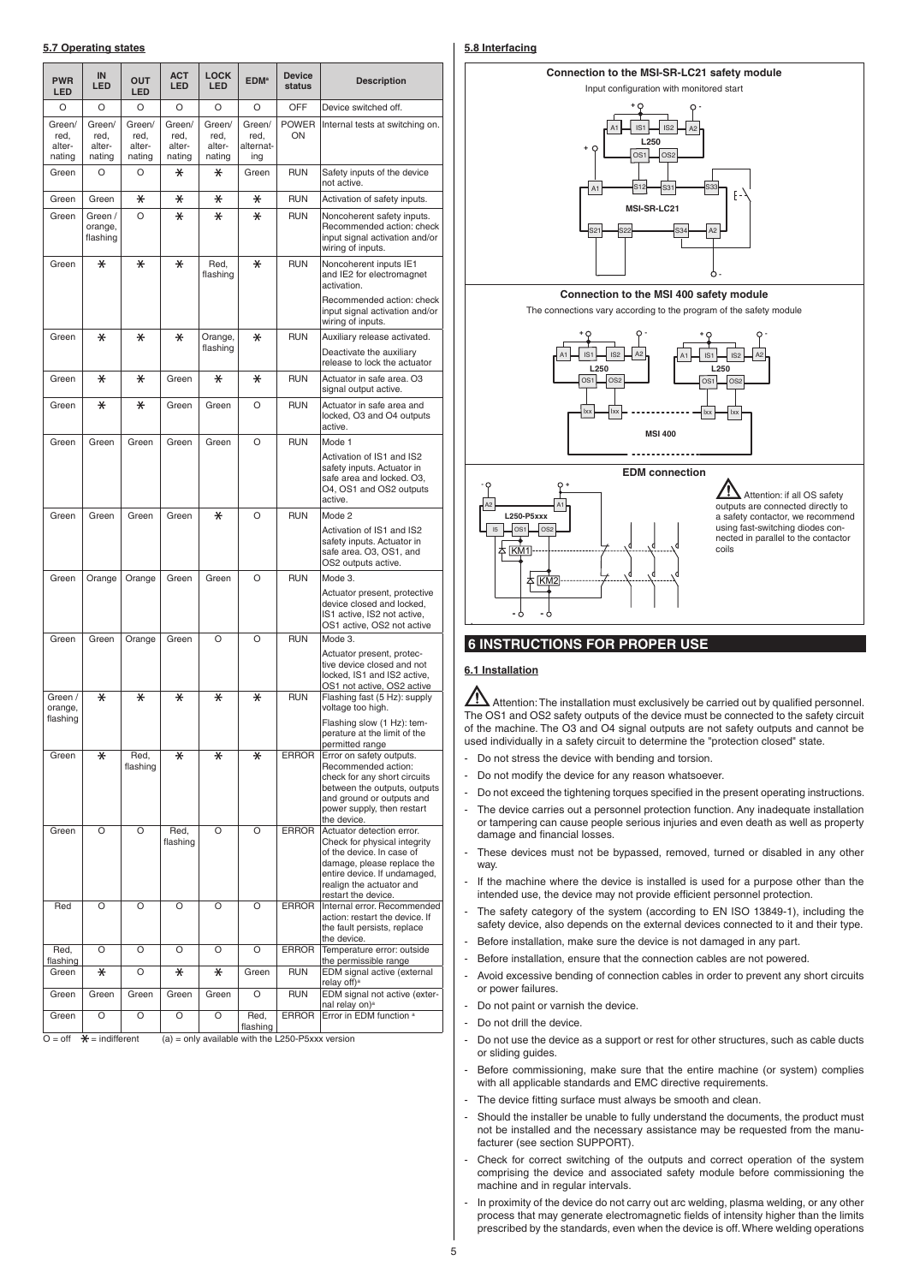## **5.7 Operating states**

| <b>PWR</b><br>LED                  | IN<br>LED                          | <b>OUT</b><br>LED                  | <b>ACT</b><br><b>LED</b>           | <b>LOCK</b><br><b>LED</b>          | <b>EDM</b> <sup>a</sup>            | <b>Device</b><br>status | <b>Description</b>                                                                                                                                                                                      |
|------------------------------------|------------------------------------|------------------------------------|------------------------------------|------------------------------------|------------------------------------|-------------------------|---------------------------------------------------------------------------------------------------------------------------------------------------------------------------------------------------------|
| O                                  | O                                  | O                                  | O                                  | O                                  | O                                  | OFF                     | Device switched off.                                                                                                                                                                                    |
| Green/<br>red,<br>alter-<br>nating | Green/<br>red.<br>alter-<br>nating | Green/<br>red,<br>alter-<br>nating | Green/<br>red,<br>alter-<br>nating | Green/<br>red,<br>alter-<br>nating | Green/<br>red,<br>alternat-<br>ing | <b>POWER</b><br>ON      | Internal tests at switching on.                                                                                                                                                                         |
| Green                              | O                                  | O                                  | ⋇                                  | $\ast$                             | Green                              | RUN                     | Safety inputs of the device<br>not active.                                                                                                                                                              |
| Green                              | Green                              | ⋇                                  | ⋇                                  | ⋇                                  | ⋇                                  | <b>RUN</b>              | Activation of safety inputs.                                                                                                                                                                            |
| Green                              | Green /<br>orange,<br>flashing     | O                                  | $\ast$                             | $\ast$                             | $\ast$                             | <b>RUN</b>              | Noncoherent safety inputs.<br>Recommended action: check<br>input signal activation and/or<br>wiring of inputs.                                                                                          |
| Green                              | $\ast$                             | $\ast$                             | $\ast$                             | Red,<br>flashing                   | $\ast$                             | <b>RUN</b>              | Noncoherent inputs IE1<br>and IE2 for electromagnet<br>activation.                                                                                                                                      |
|                                    |                                    |                                    |                                    |                                    |                                    |                         | Recommended action: check<br>input signal activation and/or<br>wiring of inputs.                                                                                                                        |
| Green                              | $\ast$                             | $\ast$                             | $\ast$                             | Orange,<br>flashing                | $\ast$                             | <b>RUN</b>              | Auxiliary release activated.<br>Deactivate the auxiliary<br>release to lock the actuator                                                                                                                |
| Green                              | $\ast$                             | $\ast$                             | Green                              | $\ast$                             | $\ast$                             | <b>RUN</b>              | Actuator in safe area. O3<br>signal output active.                                                                                                                                                      |
| Green                              | $\ast$                             | $\ast$                             | Green                              | Green                              | O                                  | <b>RUN</b>              | Actuator in safe area and<br>locked. O3 and O4 outputs<br>active.                                                                                                                                       |
| Green                              | Green                              | Green                              | Green                              | Green                              | O                                  | <b>RUN</b>              | Mode 1                                                                                                                                                                                                  |
|                                    |                                    |                                    |                                    |                                    |                                    |                         | Activation of IS1 and IS2<br>safety inputs. Actuator in<br>safe area and locked, O3.<br>O4, OS1 and OS2 outputs<br>active.                                                                              |
| Green                              | Green                              | Green                              | Green                              | $\ast$                             | O                                  | <b>RUN</b>              | Mode 2                                                                                                                                                                                                  |
|                                    |                                    |                                    |                                    |                                    |                                    |                         | Activation of IS1 and IS2<br>safety inputs. Actuator in<br>safe area. O3, OS1, and<br>OS2 outputs active.                                                                                               |
| Green                              | Orange                             | Orange                             | Green                              | Green                              | O                                  | <b>RUN</b>              | Mode 3.                                                                                                                                                                                                 |
|                                    |                                    |                                    |                                    |                                    |                                    |                         | Actuator present, protective<br>device closed and locked,<br>IS1 active, IS2 not active,<br>OS1 active, OS2 not active                                                                                  |
| Green                              | Green                              | Orange                             | Green                              | O                                  | O                                  | <b>RUN</b>              | Mode 3.                                                                                                                                                                                                 |
|                                    |                                    |                                    |                                    |                                    |                                    |                         | Actuator present, protec-<br>tive device closed and not<br>locked, IS1 and IS2 active,<br>OS1 not active, OS2 active                                                                                    |
| Green /<br>orange,                 | $\ast$                             | $\ast$                             | $\ast$                             | $\ast$                             | $\ast$                             | <b>RUN</b>              | Flashing fast (5 Hz): supply<br>voltage too high.                                                                                                                                                       |
| flashing                           |                                    |                                    |                                    |                                    |                                    |                         | Flashing slow (1 Hz): tem-<br>perature at the limit of the<br>permitted range                                                                                                                           |
| Green                              | *                                  | Red,                               | ⋇                                  | ⋇                                  | ⋇                                  | <b>ERROR</b>            | Error on safety outputs.                                                                                                                                                                                |
|                                    |                                    | flashing                           |                                    |                                    |                                    |                         | Recommended action:<br>check for any short circuits<br>between the outputs, outputs<br>and ground or outputs and<br>power supply, then restart<br>the device.                                           |
| Green                              | O                                  | O                                  | Red.<br>flashing                   | O                                  | O                                  | <b>ERROR</b>            | Actuator detection error.<br>Check for physical integrity<br>of the device. In case of<br>damage, please replace the<br>entire device. If undamaged,<br>realign the actuator and<br>restart the device. |
| Red                                | O                                  | O                                  | O                                  | O                                  | O                                  | <b>ERROR</b>            | Internal error. Recommended<br>action: restart the device. If<br>the fault persists, replace<br>the device.                                                                                             |
| Red,                               | O                                  | O                                  | O                                  | O                                  | O                                  | <b>ERROR</b>            | Temperature error: outside                                                                                                                                                                              |
| flashing<br>Green                  | $\ast$                             | O                                  | $\ast$                             | $\ast$                             | Green                              | <b>RUN</b>              | the permissible range<br>EDM signal active (external                                                                                                                                                    |
| Green                              | Green                              | Green                              | Green                              | Green                              | O                                  | <b>RUN</b>              | relay off) <sup>a</sup><br>EDM signal not active (exter-<br>nal relay on) <sup>a</sup>                                                                                                                  |
| Green                              | O                                  | O                                  | O                                  | O                                  | Red,<br>flashing                   | <b>ERROR</b>            | Error in EDM function a                                                                                                                                                                                 |

 $\overline{O} = \text{off}$   $\div$  = indifferent (a) = only available with the L250-P5xxx version

## **5.8 Interfacing**



# **6 INSTRUCTIONS FOR PROPER USE**

## **6.1 Installation**

 $\boldsymbol{\Delta}$  Attention: The installation must exclusively be carried out by qualified personnel. The OS1 and OS2 safety outputs of the device must be connected to the safety circuit of the machine. The O3 and O4 signal outputs are not safety outputs and cannot be used individually in a safety circuit to determine the "protection closed" state.

- Do not stress the device with bending and torsion.
- Do not modify the device for any reason whatsoever.
- Do not exceed the tightening torques specified in the present operating instructions.
- The device carries out a personnel protection function. Any inadequate installation or tampering can cause people serious injuries and even death as well as property damage and financial losses.
- These devices must not be bypassed, removed, turned or disabled in any other way.
- If the machine where the device is installed is used for a purpose other than the intended use, the device may not provide efficient personnel protection.
- The safety category of the system (according to EN ISO 13849-1), including the safety device, also depends on the external devices connected to it and their type.
- Before installation, make sure the device is not damaged in any part.
- Before installation, ensure that the connection cables are not powered.
- Avoid excessive bending of connection cables in order to prevent any short circuits or power failures.
- Do not paint or varnish the device.
- Do not drill the device.
- Do not use the device as a support or rest for other structures, such as cable ducts or sliding guides.
- Before commissioning, make sure that the entire machine (or system) complies with all applicable standards and EMC directive requirements.
- The device fitting surface must always be smooth and clean.
- Should the installer be unable to fully understand the documents, the product must not be installed and the necessary assistance may be requested from the manufacturer (see section SUPPORT).
- Check for correct switching of the outputs and correct operation of the system comprising the device and associated safety module before commissioning the machine and in regular intervals.
- In proximity of the device do not carry out arc welding, plasma welding, or any other process that may generate electromagnetic fields of intensity higher than the limits prescribed by the standards, even when the device is off. Where welding operations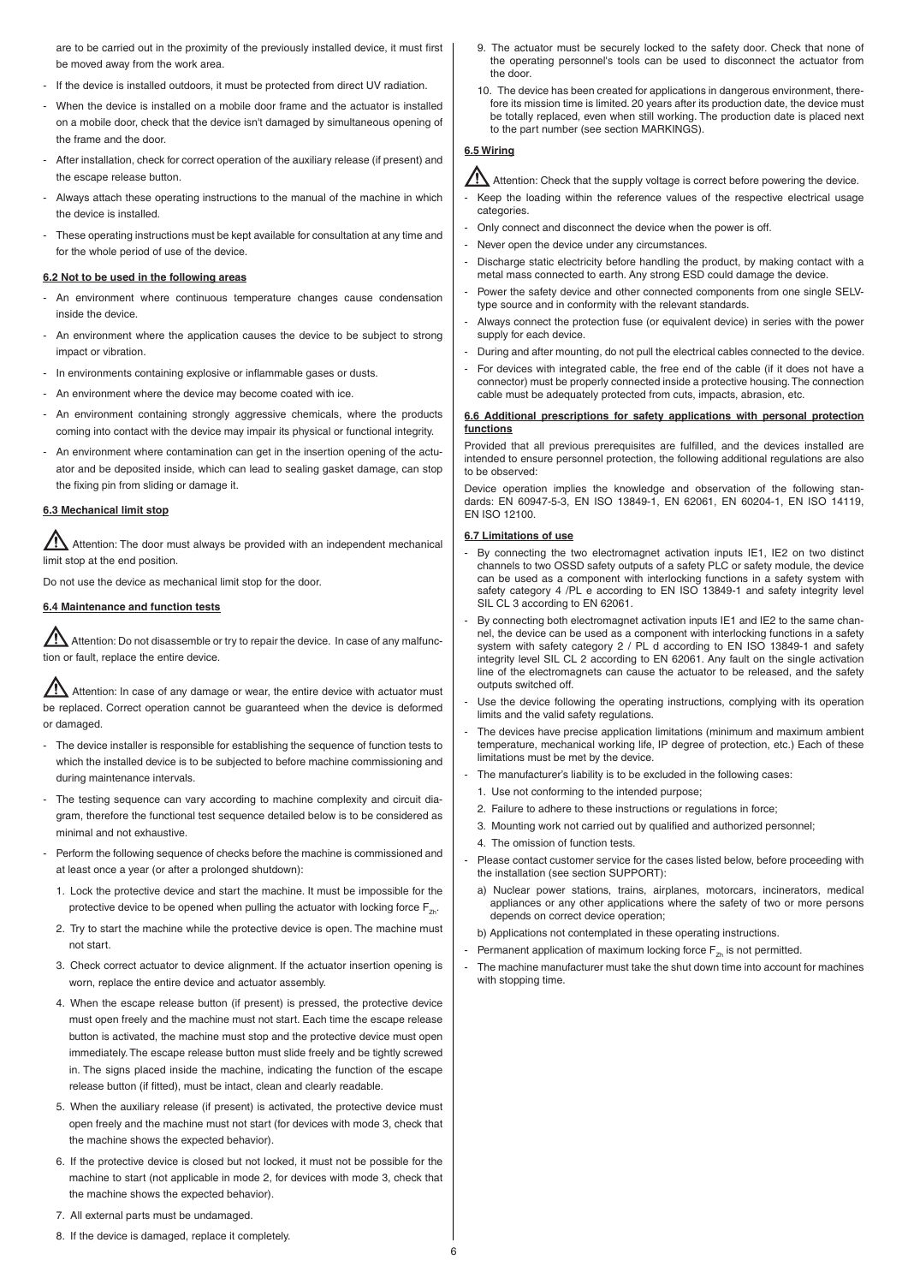are to be carried out in the proximity of the previously installed device, it must first be moved away from the work area.

- If the device is installed outdoors, it must be protected from direct UV radiation.
- When the device is installed on a mobile door frame and the actuator is installed on a mobile door, check that the device isn't damaged by simultaneous opening of the frame and the door.
- After installation, check for correct operation of the auxiliary release (if present) and the escape release button.
- Always attach these operating instructions to the manual of the machine in which the device is installed.
- These operating instructions must be kept available for consultation at any time and for the whole period of use of the device.

#### **6.2 Not to be used in the following areas**

- An environment where continuous temperature changes cause condensation inside the device.
- An environment where the application causes the device to be subject to strong impact or vibration.
- In environments containing explosive or inflammable gases or dusts.
- An environment where the device may become coated with ice.
- An environment containing strongly aggressive chemicals, where the products coming into contact with the device may impair its physical or functional integrity.
- An environment where contamination can get in the insertion opening of the actuator and be deposited inside, which can lead to sealing gasket damage, can stop the fixing pin from sliding or damage it.

## **6.3 Mechanical limit stop**

 $\blacktriangle$  Attention: The door must always be provided with an independent mechanical limit stop at the end position.

Do not use the device as mechanical limit stop for the door.

# **6.4 Maintenance and function tests**

 Attention: Do not disassemble or try to repair the device. In case of any malfunction or fault, replace the entire device.

 Attention: In case of any damage or wear, the entire device with actuator must be replaced. Correct operation cannot be guaranteed when the device is deformed or damaged.

- The device installer is responsible for establishing the sequence of function tests to which the installed device is to be subjected to before machine commissioning and during maintenance intervals.
- The testing sequence can vary according to machine complexity and circuit diagram, therefore the functional test sequence detailed below is to be considered as minimal and not exhaustive.
- Perform the following sequence of checks before the machine is commissioned and at least once a year (or after a prolonged shutdown):
- 1. Lock the protective device and start the machine. It must be impossible for the protective device to be opened when pulling the actuator with locking force  $F_{Zh}$ .
- 2. Try to start the machine while the protective device is open. The machine must not start.
- 3. Check correct actuator to device alignment. If the actuator insertion opening is worn, replace the entire device and actuator assembly.
- 4. When the escape release button (if present) is pressed, the protective device must open freely and the machine must not start. Each time the escape release button is activated, the machine must stop and the protective device must open immediately. The escape release button must slide freely and be tightly screwed in. The signs placed inside the machine, indicating the function of the escape release button (if fitted), must be intact, clean and clearly readable.
- 5. When the auxiliary release (if present) is activated, the protective device must open freely and the machine must not start (for devices with mode 3, check that the machine shows the expected behavior).
- 6. If the protective device is closed but not locked, it must not be possible for the machine to start (not applicable in mode 2, for devices with mode 3, check that the machine shows the expected behavior).
- 7. All external parts must be undamaged.
- 8. If the device is damaged, replace it completely.
- 9. The actuator must be securely locked to the safety door. Check that none of the operating personnel's tools can be used to disconnect the actuator from the door.
- 10. The device has been created for applications in dangerous environment, therefore its mission time is limited. 20 years after its production date, the device must be totally replaced, even when still working. The production date is placed next to the part number (see section MARKINGS).

# **6.5 Wiring**

Attention: Check that the supply voltage is correct before powering the device.

- Keep the loading within the reference values of the respective electrical usage categories.
- Only connect and disconnect the device when the power is off.
- Never open the device under any circumstances.
- Discharge static electricity before handling the product, by making contact with a metal mass connected to earth. Any strong ESD could damage the device.
- Power the safety device and other connected components from one single SELVtype source and in conformity with the relevant standards.
- Always connect the protection fuse (or equivalent device) in series with the power supply for each device.
- During and after mounting, do not pull the electrical cables connected to the device.
- For devices with integrated cable, the free end of the cable (if it does not have a connector) must be properly connected inside a protective housing. The connection cable must be adequately protected from cuts, impacts, abrasion, etc.

#### **6.6 Additional prescriptions for safety applications with personal protection functions**

Provided that all previous prerequisites are fulfilled, and the devices installed are intended to ensure personnel protection, the following additional regulations are also to be observed:

Device operation implies the knowledge and observation of the following standards: EN 60947-5-3, EN ISO 13849-1, EN 62061, EN 60204-1, EN ISO 14119, EN ISO 12100.

#### **6.7 Limitations of use**

- By connecting the two electromagnet activation inputs IE1, IE2 on two distinct channels to two OSSD safety outputs of a safety PLC or safety module, the device can be used as a component with interlocking functions in a safety system with safety category 4 /PL e according to EN ISO 13849-1 and safety integrity level SIL CL 3 according to EN 62061.
- By connecting both electromagnet activation inputs IE1 and IE2 to the same channel, the device can be used as a component with interlocking functions in a safety system with safety category 2 / PL d according to EN ISO 13849-1 and safety integrity level SIL CL 2 according to EN 62061. Any fault on the single activation line of the electromagnets can cause the actuator to be released, and the safety outputs switched off.
- Use the device following the operating instructions, complying with its operation limits and the valid safety regulations.
- The devices have precise application limitations (minimum and maximum ambient temperature, mechanical working life, IP degree of protection, etc.) Each of these limitations must be met by the device.
- The manufacturer's liability is to be excluded in the following cases:
- 1. Use not conforming to the intended purpose;
- 2. Failure to adhere to these instructions or regulations in force;
- 3. Mounting work not carried out by qualified and authorized personnel;
- 4. The omission of function tests.
- Please contact customer service for the cases listed below, before proceeding with the installation (see section SUPPORT):
- a) Nuclear power stations, trains, airplanes, motorcars, incinerators, medical appliances or any other applications where the safety of two or more persons depends on correct device operation;
- b) Applications not contemplated in these operating instructions.
- Permanent application of maximum locking force  $F_{Zh}$  is not permitted.
- The machine manufacturer must take the shut down time into account for machines with stopping time.